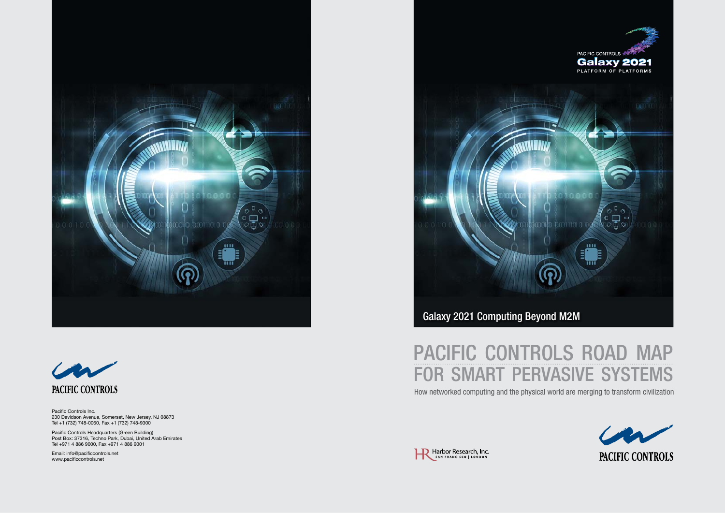### PACIFIC CONTROLS ROAD MAP for smart pervasive systems





How networked computing and the physical world are merging to transform civilization







Pacific Controls Inc. 230 Davidson Avenue, Somerset, New Jersey, NJ 08873 Tel +1 (732) 748-0060, Fax +1 (732) 748-9300

Pacific Controls Headquarters (Green Building) Post Box: 37316, Techno Park, Dubai, United Arab Emirates Tel +971 4 886 9000, Fax +971 4 886 9001

Email: info@pacificcontrols.net www.pacificcontrols.net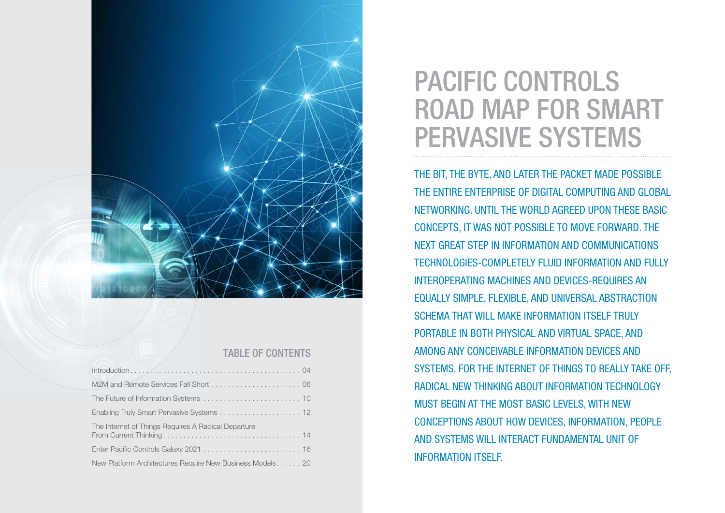THE BIT, THE BYTE, AND LATER THE PACKET MADE POSSIBLE THE ENTIRE ENTERPRISE OF DIGITAL COMPUTING AND GLOBAL NETWORKING. UNTIL THE WORLD AGREED UPON THESE BASIC CONCEPTS, IT WAS NOT POSSIBLE TO MOVE FORWARD. THE NEXT GREAT STEP IN INFORMATION AND COMMUNICATIONS TECHNOLOGIES-COMPLETELY FLUID INFORMATION AND FULLY INTEROPERATING MACHINES AND DEVICES-REQUIRES AN EQUALLY SIMPLE, FLEXIBLE, AND UNIVERSAL ABSTRACTION SCHEMA THAT WILL MAKE INFORMATION ITSELF TRULY PORTABLE IN BOTH PHYSICAL AND VIRTUAL SPACE, AND AMONG ANY CONCEIVABLE INFORMATION DEVICES AND SYSTEMS. FOR THE INTERNET OF THINGS TO REALLY TAKE OFF, RADICAL NEW THINKING ABOUT INFORMATION TECHNOLOGY MUST BEGIN AT THE MOST BASIC LEVELS, WITH NEW CONCEPTIONS ABOUT HOW DEVICES, INFORMATION, PEOPLE AND SYSTEMS WILL INTERACT FUNDAMENTAL UNIT OF INFORMATION ITSELF.

## PACIFIC CONTROLS road map for smart pervasive systems

| M2M and Remote Services Fall Short  06                    |
|-----------------------------------------------------------|
|                                                           |
|                                                           |
| The Internet of Things Requires A Radical Departure       |
|                                                           |
| New Platform Architectures Require New Business Models 20 |



### taBle of contents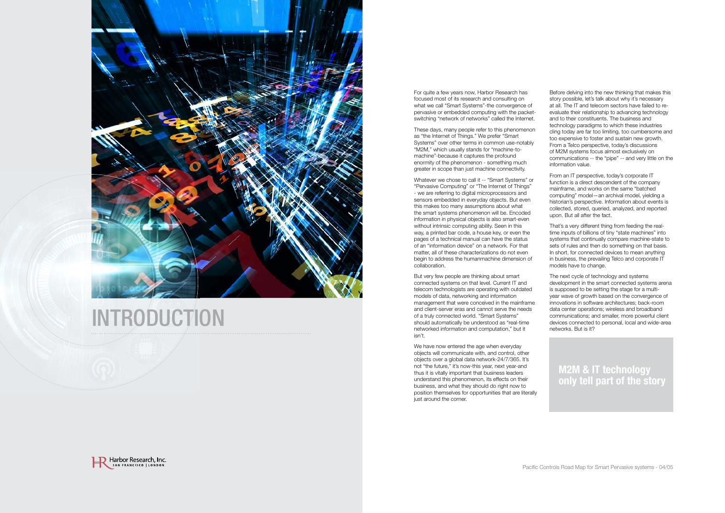

# **INTRODUCTION**

For quite a few years now, Harbor Research has focused most of its research and consulting on what we call "Smart Systems"-the convergence of pervasive or embedded computing with the packetswitching "network of networks" called the Internet

These days, many people refer to this phenomenon as "the Internet of Things." We prefer "Smart Systems" over other terms in common use-notably "M2M," which usually stands for "machine-tomachine"-because it captures the profound enormity of the phenomenon - something much greater in scope than just machine connectivity

We have now entered the age when everyday objects will communicate with, and control, other objects over a global data network-24/7/365. It's not "the future," it's now-this year, next year-and thus it is vitally important that business leaders understand this phenomenon, its effects on their business, and what they should do right now to position themselves for opportunities that are literally just around the corner.



Whatever we chose to call it -- "Smart Systems" or "Pervasive Computing" or "The Internet of Things" - we are referring to digital microprocessors and sensors embedded in everyday objects. But even this makes too many assumptions about what the smart systems phenomenon will be. Encoded information in physical objects is also smart-even without intrinsic computing ability. Seen in this way, a printed bar code, a house key, or even the pages of a technical manual can have the status of an "information device" on a network. For that matter, all of these characterizations do not even begin to address the humanmachine dimension of collaboration

From an IT perspective, today's corporate IT function is a direct descendent of the company mainframe, and works on the same "batched computing" model—an archival model, yielding a historian's perspective. Information about events is collected, stored, queried, analyzed, and reported upon. But all after the fact.

But very few people are thinking about smart connected systems on that level. Current IT and telecom technologists are operating with outdated models of data, networking and information management that were conceived in the mainframe and client-server eras and cannot serve the needs of a truly connected world. "Smart Systems" should automatically be understood as "real-time networked information and computation," but it isn't

The next cycle of technology and systems development in the smart connected systems arena is supposed to be setting the stage for a multiyear wave of growth based on the convergence of innovations in software architectures; back-room data center operations; wireless and broadband communications; and smaller, more powerful client devices connected to personal, local and wide-area networks. But is it?

Before delving into the new thinking that makes this story possible, let's talk about why it's necessary at all. The IT and telecom sectors have failed to reevaluate their relationship to advancing technology and to their constituents. The business and technology paradigms to which these industries cling today are far too limiting, too cumbersome and too expensive to foster and sustain new growth From a Telco perspective, today's discussions of M2M systems focus almost exclusively on communications -- the "pipe" -- and very little on the information value

That's a very different thing from feeding the realtime inputs of billions of tiny "state machines" into systems that continually compare machine-state to sets of rules and then do something on that basis. In short, for connected devices to mean anything in business, the prevailing Telco and corporate IT models have to change

#### **M2M & IT technology only tell part of the story**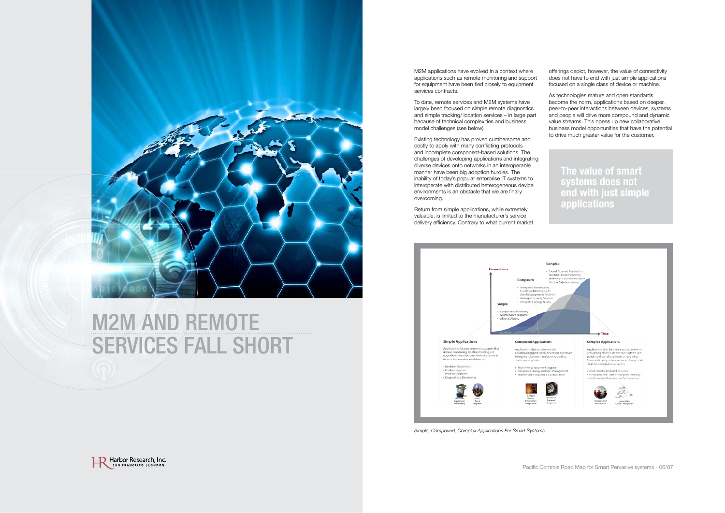

### **M2M AND REMOTE** SERVICES FALL SHORT

*Simple, Compound, Complex Applications For Smart Systems*

M2M applications have evolved in a context where applications such as remote monitoring and support for equipment have been tied closely to equipment services contracts.



To date, remote services and M2M systems have largely been focused on simple remote diagnostics and simple tracking/ location services – in large part because of technical complexities and business model challenges (see below)

Return from simple applications, while extremely valuable, is limited to the manufacturer's service delivery efficiency. Contrary to what current market



Existing technology has proven cumbersome and costly to apply with many conflicting protocols and incomplete component-based solutions The challenges of developing applications and integrating diverse devices onto networks in an interoperable manner have been big adoption hurdles. The inability of today's popular enterprise IT systems to interoperate with distributed heterogeneous device environments is an obstacle that we are finally overcoming

offerings depict, however, the value of connectivity does not have to end with just simple applications focused on a single class of device or machine

As technologies mature and open standards become the norm, applications based on deeper, peer-to-peer interactions between devices, systems and people will drive more compound and dynamic value streams. This opens up new collaborative business model opportunities that have the potential to drive much greater value for the customer

**The value of smart systems does not end with just simple applications** 

Pacific Controls Road Map for Smart Pervasive systems - 06/07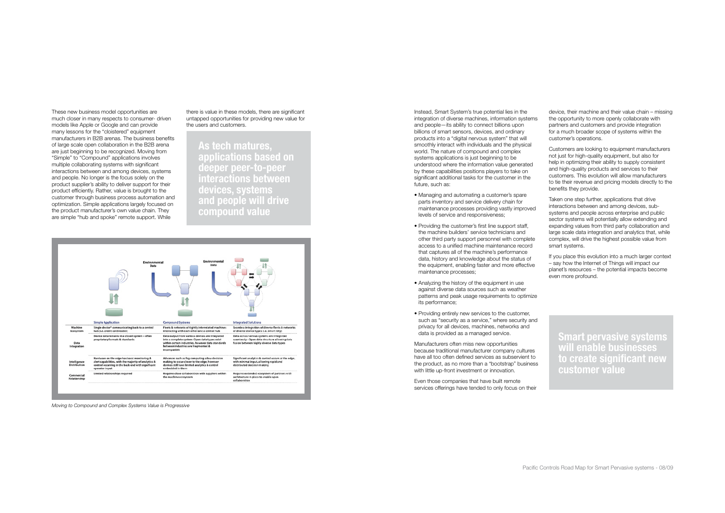*Moving to Compound and Complex Systems Value is Progressive*

**Smart pervasive systems will enable businesses to create significant new customer value**

Instead, Smart System's true potential lies in the integration of diverse machines, information systems and people—its ability to connect billions upon billions of smart sensors, devices, and ordinary products into a "digital nervous system" that will smoothly interact with individuals and the physical world. The nature of compound and complex systems applications is just beginning to be understood where the information value generated by these capabilities positions players to take on significant additional tasks for the customer in the future, such as:

Manufacturers often miss new opportunities because traditional manufacturer company cultures have all too often defined services as subservient to the product, as no more than a "bootstrap" business with little up-front investment or innovation.

- Managing and automating a customer's spare parts inventory and service delivery chain for maintenance processes providing vastly improved levels of service and responsiveness;
- Providing the customer's first line support staff, the machine builders' service technicians and other third party support personnel with complete access to a unified machine maintenance record that captures all of the machine's performance data, history and knowledge about the status of the equipment, enabling faster and more effective maintenance processes;
- Analyzing the history of the equipment in use against diverse data sources such as weather patterns and peak usage requirements to optimize its performance;
- Providing entirely new services to the customer, such as "security as a service," where security and privacy for all devices, machines, networks and data is provided as a managed service

These new business model opportunities are much closer in many respects to consumer- driven models like Apple or Google and can provide many lessons for the "cloistered" equipment manufacturers in B2B arenas. The business benefits of large scale open collaboration in the B2B arena are just beginning to be recognized. Moving from "Simple" to "Compound" applications involves multiple collaborating systems with significant interactions between and among devices, systems and people. No longer is the focus solely on the product supplier's ability to deliver support for their product efficiently Rather, value is brought to the customer through business process automation and optimization. Simple applications largely focused on the product manufacturer's own value chain. They are simple "hub and spoke" remote support. While

> Even those companies that have built remote services offerings have tended to only focus on their

device, their machine and their value chain – missing the opportunity to more openly collaborate with partners and customers and provide integration for a much broader scope of systems within the customer's operations

Customers are looking to equipment manufacturers not just for high-quality equipment, but also for help in optimizing their ability to supply consistent and high-quality products and services to their customers This evolution will allow manufacturers to tie their revenue and pricing models directly to the benefits they provide

Taken one step further, applications that drive interactions between and among devices, subsystems and people across enterprise and public sector systems will potentially allow extending and expanding values from third party collaboration and large scale data integration and analytics that, while complex, will drive the highest possible value from smart systems

If you place this evolution into a much larger context – say how the Internet of Things will impact our planet's resources – the potential impacts become even more profound

**As tech matures, applications based on deeper peer-to-peer interactions between devices, systems and people will drive compound value**



there is value in these models, there are significant untapped opportunities for providing new value for the users and customers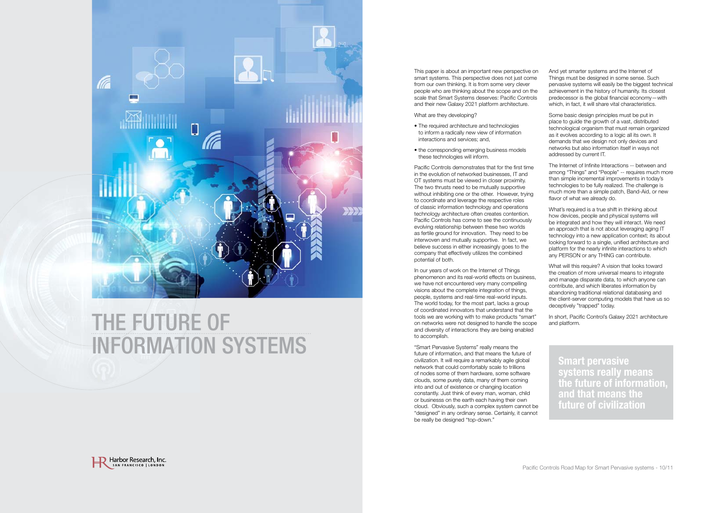This paper is about an important new perspective on smart systems. This perspective does not just come from our own thinking. It is from some very clever people who are thinking about the scope and on the scale that Smart Systems deserves: Pacific Controls and their new Galaxy 2021 platform architecture

What are they developing?

- The required architecture and technologies to inform a radically new view of information interactions and services; and,
- the corresponding emerging business models these technologies will inform

"Smart Pervasive Systems" really means the future of information, and that means the future of civilization. It will require a remarkably agile global network that could comfortably scale to trillions of nodes some of them hardware, some software clouds, some purely data, many of them coming into and out of existence or changing location constantly. Just think of every man, woman, child or businesss on the earth each having their own cloud. Obviously, such a complex system cannot be "designed" in any ordinary sense Certainly, it cannot be really be designed "top-down."



Pacific Controls demonstrates that for the first time in the evolution of networked businesses, IT and OT systems must be viewed in closer proximity The two thrusts need to be mutually supportive without inhibiting one or the other. However, trying to coordinate and leverage the respective roles of classic information technology and operations technology architecture often creates contention Pacific Controls has come to see the continuously evolving relationship between these two worlds as fertile ground for innovation. They need to be interwoven and mutually supportive. In fact, we believe success in either increasingly goes to the company that effectively utilizes the combined potential of both

And yet smarter systems and the Internet of Things must be designed in some sense. Such pervasive systems will easily be the biggest technical achievement in the history of humanity Its closest predecessor is the global financial economy—with which, in fact, it will share vital characteristics.

The Internet of Infinite Interactions -- between and among "Things" and "People" -- requires much more than simple incremental improvements in today's technologies to be fully realized. The challenge is much more than a simple patch, Band-Aid, or new flavor of what we already do.

In our years of work on the Internet of Things phenomenon and its real-world effects on business, we have not encountered very many compelling visions about the complete integration of things, people, systems and real-time real-world inputs The world today, for the most part, lacks a group of coordinated innovators that understand that the tools we are working with to make products "smart" on networks were not designed to handle the scope and diversity of interactions they are being enabled to accomplish



## THE FUTURE OF information systems

Some basic design principles must be put in place to guide the growth of a vast, distributed technological organism that must remain organized as it evolves according to a logic all its own. It demands that we design not only devices and networks but also information itself in ways not addressed by current IT

What's required is a true shift in thinking about how devices, people and physical systems will be integrated and how they will interact. We need an approach that is not about leveraging aging IT technology into a new application context; its about looking forward to a single, unified architecture and platform for the nearly infinite interactions to which any PERSON or any THING can contribute

What will this require? A vision that looks toward the creation of more universal means to integrate and manage disparate data, to which anyone can contribute, and which liberates information by abandoning traditional relational databasing and the client-server computing models that have us so deceptively "trapped" today

In short, Pacific Control's Galaxy 2021 architecture and platform

**Smart pervasive systems really means the future of information, and that means the future of civilization**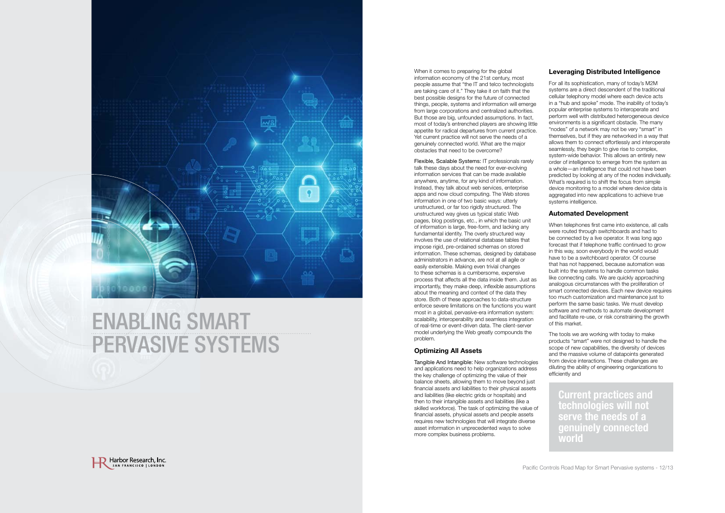When it comes to preparing for the global information economy of the 21st century, most people assume that "the IT and telco technologists are taking care of it." They take it on faith that the best possible designs for the future of connected things, people, systems and information will emerge from large corporations and centralized authorities But those are big, unfounded assumptions. In fact, most of today's entrenched players are showing little appetite for radical departures from current practice Yet current practice will not serve the needs of a genuinely connected world. What are the major obstacles that need to be overcome?

Flexible, Scalable Systems: IT professionals rarely talk these days about the need for ever-evolving information services that can be made available anywhere, anytime, for any kind of information Instead, they talk about web services, enterprise apps and now cloud computing. The Web stores information in one of two basic ways: utterly unstructured, or far too rigidly structured. The unstructured way gives us typical static Web pages, blog postings, etc., in which the basic unit of information is large, free-form, and lacking any fundamental identity. The overly structured way involves the use of relational database tables that impose rigid, pre-ordained schemas on stored information. These schemas, designed by database administrators in advance, are not at all agile or easily extensible. Making even trivial changes to these schemas is a cumbersome, expensive process that affects all the data inside them. Just as importantly, they make deep, inflexible assumptions about the meaning and context of the data they store. Both of these approaches to data-structure enforce severe limitations on the functions you want most in a global, pervasive-era information system: scalability, interoperability and seamless integration of real-time or event-driven data The client-server model underlying the Web greatly compounds the problem

#### **Optimizing All Assets**

Tangible And Intangible: New software technologies and applications need to help organizations address the key challenge of optimizing the value of their balance sheets, allowing them to move beyond just financial assets and liabilities to their physical assets and liabilities (like electric grids or hospitals) and then to their intangible assets and liabilities (like a skilled workforce). The task of optimizing the value of financial assets, physical assets and people assets requires new technologies that will integrate diverse asset information in unprecedented ways to solve more complex business problems



#### **Leveraging Distributed Intelligence**

For all its sophistication, many of today's M2M systems are a direct descendent of the traditional cellular telephony model where each device acts in a "hub and spoke" mode. The inability of today's popular enterprise systems to interoperate and perform well with distributed heterogeneous device environments is a significant obstacle. The many "nodes" of a network may not be very "smart" in themselves, but if they are networked in a way that allows them to connect effortlessly and interoperate seamlessly, they begin to give rise to complex, system-wide behavior. This allows an entirely new order of intelligence to emerge from the system as a whole—an intelligence that could not have been predicted by looking at any of the nodes individually What's required is to shift the focus from simple device monitoring to a model where device data is aggregated into new applications to achieve true systems intelligence

#### **Automated Development**

When telephones first came into existence, all calls were routed through switchboards and had to be connected by a live operator. It was long ago forecast that if telephone traffic continued to grow in this way, soon everybody in the world would have to be a switchboard operator. Of course that has not happened, because automation was built into the systems to handle common tasks like connecting calls. We are quickly approaching analogous circumstances with the proliferation of smart connected devices Each new device requires too much customization and maintenance just to perform the same basic tasks. We must develop software and methods to automate development and facilitate re-use, or risk constraining the growth of this market

The tools we are working with today to make products "smart" were not designed to handle the scope of new capabilities, the diversity of devices and the massive volume of datapoints generated from device interactions. These challenges are diluting the ability of engineering organizations to efficiently and

**Current practices and technologies will not serve the needs of a genuinely connected world**



### enaBlinG smart pervasive systems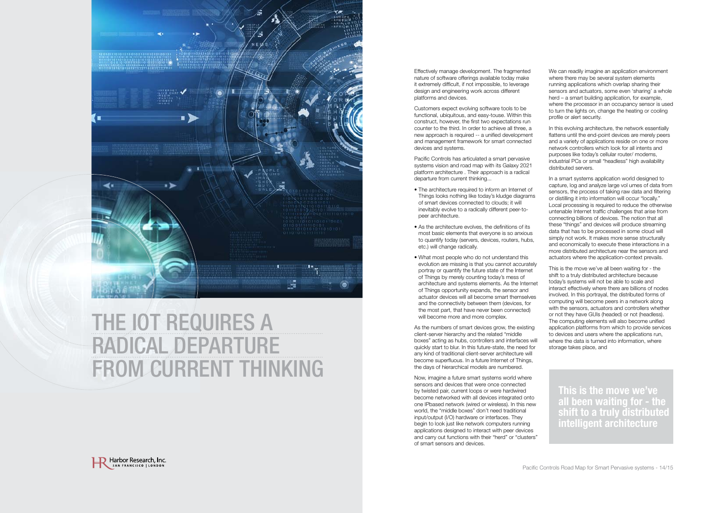

### THE IOT REQUIRES A radical departUre FROM CURRENT THINKING

Effectively manage development. The fragmented nature of software offerings available today make it extremely difficult, if not impossible, to leverage design and engineering work across different platforms and devices

Pacific Controls has articulated a smart pervasive systems vision and road map with its Galaxy 2021 platform architecture . Their approach is a radical departure from current thinking...

- The architecture required to inform an Internet of Things looks nothing like today's kludge diagrams of smart devices connected to clouds; it will inevitably evolve to a radically different peer-topeer architecture.
- As the architecture evolves, the definitions of its most basic elements that everyone is so anxious to quantify today (servers, devices, routers, hubs, etc ) will change radically
- What most people who do not understand this evolution are missing is that you cannot accurately portray or quantify the future state of the Internet of Things by merely counting today's mess of architecture and systems elements As the Internet of Things opportunity expands, the sensor and actuator devices will all become smart themselves and the connectivity between them (devices, for the most part, that have never been connected) will become more and more complex.

Customers expect evolving software tools to be functional, ubiquitous, and easy-touse. Within this construct, however, the first two expectations run counter to the third. In order to achieve all three, a new approach is required -- a unified development and management framework for smart connected devices and systems

In this evolving architecture, the network essentially flattens until the end-point devices are merely peers and a variety of applications reside on one or more network controllers which look for all intents and purposes like today's cellular router/ modems, industrial PCs or small "headless" high availability distributed servers

As the numbers of smart devices grow, the existing client-server hierarchy and the related "middle boxes" acting as hubs, controllers and interfaces will quickly start to blur. In this future-state, the need for any kind of traditional client-server architecture will become superfluous. In a future Internet of Things, the days of hierarchical models are numbered

Now, imagine a future smart systems world where sensors and devices that were once connected by twisted pair, current loops or were hardwired become networked with all devices integrated onto one IPbased network (wired or wireless). In this new world, the "middle boxes" don't need traditional input/output (I/O) hardware or interfaces. They begin to look just like network computers running applications designed to interact with peer devices and carry out functions with their "herd" or "clusters" of smart sensors and devices



We can readily imagine an application environment where there may be several system elements running applications which overlap sharing their sensors and actuators, some even 'sharing' a whole herd – a smart building application, for example, where the processor in an occupancy sensor is used to turn the lights on, change the heating or cooling profile or alert security

In a smart systems application world designed to capture, log and analyze large vol umes of data from sensors, the process of taking raw data and filtering or distilling it into information will occur "locally " Local processing is required to reduce the otherwise untenable Internet traffic challenges that arise from connecting billions of devices The notion that all these "things" and devices will produce streaming data that has to be processed in some cloud will simply not work. It makes more sense structurally and economically to execute these interactions in a more distributed architecture near the sensors and actuators where the application-context prevails

This is the move we've all been waiting for - the shift to a truly distributed architecture because today's systems will not be able to scale and interact effectively where there are billions of nodes involved. In this portrayal, the distributed forms of computing will become peers in a network along with the sensors, actuators and controllers whether or not they have GUIs (headed) or not (headless) The computing elements will also become unified application platforms from which to provide services to devices and users where the applications run, where the data is turned into information, where storage takes place, and

**This is the move we've all been waiting for - the shift to a truly distributed intelligent architecture**

Pacific Controls Road Map for Smart Pervasive systems - 14/15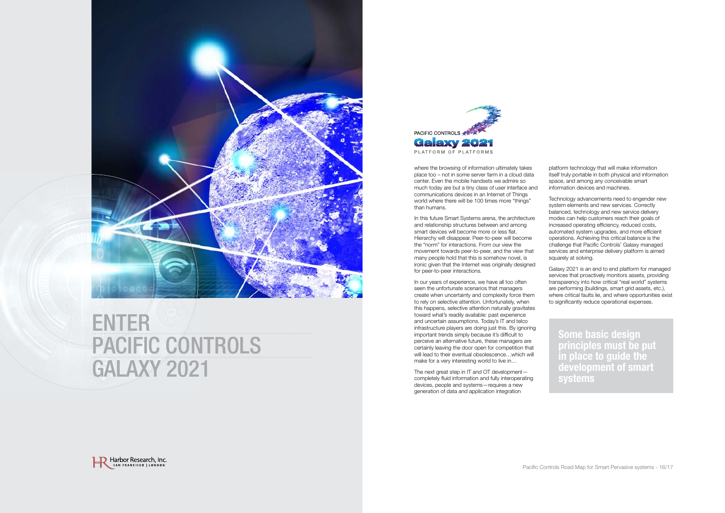where the browsing of information ultimately takes place too – not in some server farm in a cloud data center. Even the mobile handsets we admire so much today are but a tiny class of user interface and communications devices in an Internet of Things world where there will be 100 times more "things" than humans

In this future Smart Systems arena, the architecture and relationship structures between and among smart devices will become more or less flat Hierarchy will disappear. Peer-to-peer will become the "norm" for interactions From our view the movement towards peer-to-peer, and the view that many people hold that this is somehow novel, is ironic given that the Internet was originally designed for peer-to-peer interactions

Technology advancements need to engender new system elements and new services. Correctly balanced, technology and new service delivery modes can help customers reach their goals of increased operating efficiency, reduced costs, automated system upgrades, and more efficient operations Achieving this critical balance is the challenge that Pacific Controls' Galaxy managed services and enterprise delivery platform is aimed squarely at solving.

In our years of experience, we have all too often seen the unfortunate scenarios that managers create when uncertainty and complexity force them to rely on selective attention. Unfortunately, when this happens, selective attention naturally gravitates toward what's readily available: past experience and uncertain assumptions. Today's IT and telco infrastructure players are doing just this. By ignoring important trends simply because it's difficult to perceive an alternative future, these managers are certainly leaving the door open for competition that will lead to their eventual obsolescence...which will make for a very interesting world to live in…



### **ENTER** PACIFIC CONTROLS Galaxy 2021



The next great step in IT and OT development completely fluid information and fully interoperating devices, people and systems—requires a new generation of data and application integration



platform technology that will make information itself truly portable in both physical and information space, and among any conceivable smart information devices and machines

Galaxy 2021 is an end to end platform for managed services that proactively monitors assets, providing transparency into how critical "real world" systems are performing (buildings, smart grid assets, etc ), where critical faults lie, and where opportunities exist to significantly reduce operational expenses

**Some basic design principles must be put in place to guide the development of smart systems**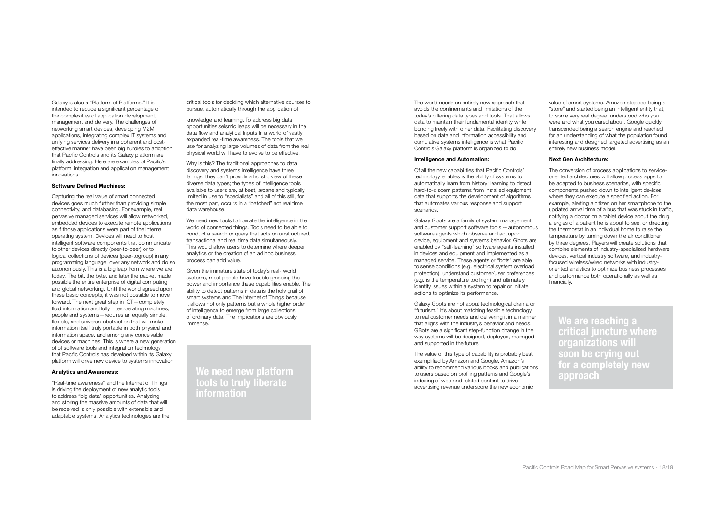The world needs an entirely new approach that avoids the confinements and limitations of the today's differing data types and tools. That allows data to maintain their fundamental identity while bonding freely with other data Facilitating discovery, based on data and information accessibility and cumulative systems intelligence is what Pacific Controls Galaxy platform is organized to do

#### **Intelligence and Automation:**

Of all the new capabilities that Pacific Controls' technology enables is the ability of systems to automatically learn from history; learning to detect hard-to-discern patterns from installed equipment data that supports the development of algorithms that automates various response and support scenarios

Galaxy Gbots are a family of system management and customer support software tools -- autonomous software agents which observe and act upon device, equipment and systems behavior. Gbots are enabled by "self-learning" software agents installed in devices and equipment and implemented as a managed service. These agents or "bots" are able to sense conditions (e.g. electrical system overload protection), understand customer/user preferences (e.g. is the temperature too high) and ultimately identify issues within a system to repair or initiate actions to optimize its performance

value of smart systems. Amazon stopped being a "store" and started being an intelligent entity that, to some very real degree, understood who you were and what you cared about. Google quickly transcended being a search engine and reached for an understanding of what the population found interesting and designed targeted advertising as an entirely new business model

Galaxy Gbots are not about technological drama or "futurism " It's about matching feasible technology to real customer needs and delivering it in a manner that aligns with the industry's behavior and needs GBots are a significant step-function change in the way systems will be designed, deployed, managed and supported in the future

The value of this type of capability is probably best exemplified by Amazon and Google, Amazon's ability to recommend various books and publications to users based on profiling patterns and Google's indexing of web and related content to drive advertising revenue underscore the new economic

#### **Next Gen Architecture:**

"Real-time awareness" and the Internet of Things is driving the deployment of new analytic tools to address "big data" opportunities Analyzing and storing the massive amounts of data that will be received is only possible with extensible and adaptable systems. Analytics technologies are the The conversion of process applications to serviceoriented architectures will allow process apps to be adapted to business scenarios, with specific components pushed down to intelligent devices where they can execute a specified action. For example, alerting a citizen on her smartphone to the updated arrival time of a bus that was stuck in traffic, notifying a doctor on a tablet device about the drug allergies of a patient he is about to see, or directing the thermostat in an individual home to raise the temperature by turning down the air conditioner by three degrees. Players will create solutions that combine elements of industry-specialized hardware devices, vertical industry software, and industryfocused wireless/wired networks with industryoriented analytics to optimize business processes and performance both operationally as well as financially

knowledge and learning. To address big data opportunities seismic leaps will be necessary in the data flow and analytical inputs in a world of vastly expanded real-time awareness The tools that we use for analyzing large volumes of data from the real physical world will have to evolve to be effective

Galaxy is also a "Platform of Platforms " It is intended to reduce a significant percentage of the complexities of application development, management and delivery. The challenges of networking smart devices, developing M2M applications, integrating complex IT systems and unifying services delivery in a coherent and costeffective manner have been big hurdles to adoption that Pacific Controls and its Galaxy platform are finally addressing. Here are examples of Pacific's platform, integration and application management innovations:

#### **Software Defined Machines:**

Capturing the real value of smart connected devices goes much further than providing simple connectivity, and databasing. For example, real pervasive managed services will allow networked, embedded devices to execute remote applications as if those applications were part of the internal operating system. Devices will need to host intelligent software components that communicate to other devices directly (peer-to-peer) or to logical collections of devices (peer-togroup) in any programming language, over any network and do so autonomously This is a big leap from where we are today. The bit, the byte, and later the packet made possible the entire enterprise of digital computing and global networking. Until the world agreed upon these basic concepts, it was not possible to move forward. The next great step in ICT-completely fluid information and fully interoperating machines, people and systems—requires an equally simple, flexible, and universal abstraction that will make information itself truly portable in both physical and information space, and among any conceivable devices or machines. This is where a new generation of of software tools and integration technology that Pacific Controls has develoed within its Galaxy platform will drive new device to systems innovation

#### **Analytics and Awareness:**

critical tools for deciding which alternative courses to pursue, automatically through the application of

Why is this? The traditional approaches to data discovery and systems intelligence have three failings: they can't provide a holistic view of these diverse data types; the types of intelligence tools available to users are, at best, arcane and typically limited in use to "specialists" and all of this still, for the most part, occurs in a "batched" not real time data warehouse

We need new tools to liberate the intelligence in the world of connected things. Tools need to be able to conduct a search or query that acts on unstructured, transactional and real time data simultaneously This would allow users to determine where deeper analytics or the creation of an ad hoc business process can add value

Given the immature state of today's real- world systems, most people have trouble grasping the power and importance these capabilities enable. The ability to detect patterns in data is the holy grail of smart systems and The Internet of Things because it allows not only patterns but a whole higher order of intelligence to emerge from large collections of ordinary data. The implications are obviously immense

**We need new platform tools to truly liberate information**

**We are reaching a critical juncture where organizations will soon be crying out for a completely new approach**